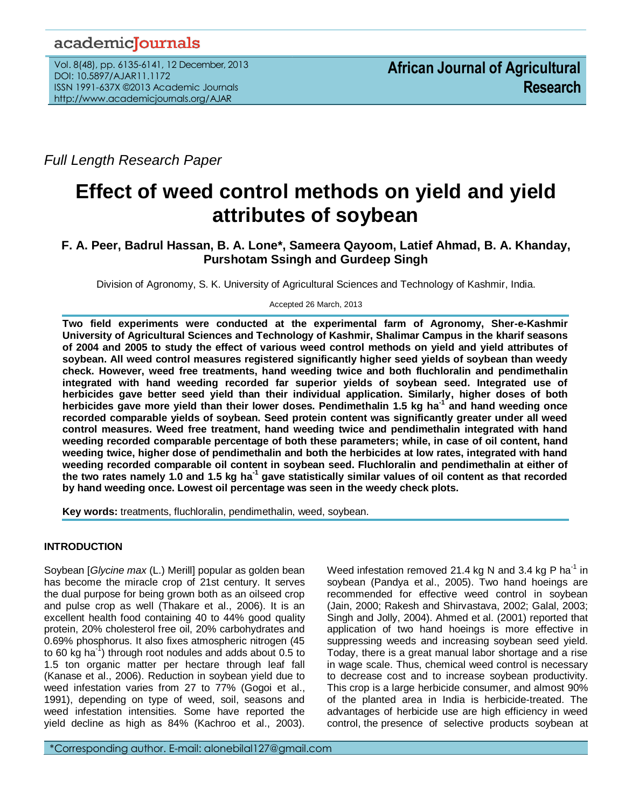## academicJournals

Vol. 8(48), pp. 6135-6141, 12 December, 2013 DOI: 10.5897/AJAR11.1172 ISSN 1991-637X ©2013 Academic Journals http://www.academicjournals.org/AJAR

*Full Length Research Paper*

# **Effect of weed control methods on yield and yield attributes of soybean**

## **F. A. Peer, Badrul Hassan, B. A. Lone\*, Sameera Qayoom, Latief Ahmad, B. A. Khanday, Purshotam Ssingh and Gurdeep Singh**

Division of Agronomy, S. K. University of Agricultural Sciences and Technology of Kashmir, India.

Accepted 26 March, 2013

**Two field experiments were conducted at the experimental farm of Agronomy, Sher-e-Kashmir University of Agricultural Sciences and Technology of Kashmir, Shalimar Campus in the kharif seasons of 2004 and 2005 to study the effect of various weed control methods on yield and yield attributes of soybean. All weed control measures registered significantly higher seed yields of soybean than weedy check. However, weed free treatments, hand weeding twice and both fluchloralin and pendimethalin integrated with hand weeding recorded far superior yields of soybean seed. Integrated use of herbicides gave better seed yield than their individual application. Similarly, higher doses of both herbicides gave more yield than their lower doses. Pendimethalin 1.5 kg ha-1 and hand weeding once recorded comparable yields of soybean. Seed protein content was significantly greater under all weed control measures. Weed free treatment, hand weeding twice and pendimethalin integrated with hand weeding recorded comparable percentage of both these parameters; while, in case of oil content, hand weeding twice, higher dose of pendimethalin and both the herbicides at low rates, integrated with hand weeding recorded comparable oil content in soybean seed. Fluchloralin and pendimethalin at either of the two rates namely 1.0 and 1.5 kg ha-1 gave statistically similar values of oil content as that recorded by hand weeding once. Lowest oil percentage was seen in the weedy check plots.**

**Key words:** treatments, fluchloralin, pendimethalin, weed, soybean.

### **INTRODUCTION**

Soybean [*Glycine max* (L.) Merill] popular as golden bean has become the miracle crop of 21st century. It serves the dual purpose for being grown both as an oilseed crop and pulse crop as well (Thakare et al., 2006). It is an excellent health food containing 40 to 44% good quality protein, 20% cholesterol free oil, 20% carbohydrates and 0.69% phosphorus. It also fixes atmospheric nitrogen (45 to 60 kg ha<sup>-1</sup>) through root nodules and adds about 0.5 to 1.5 ton organic matter per hectare through leaf fall (Kanase et al., 2006). Reduction in soybean yield due to weed infestation varies from 27 to 77% (Gogoi et al., 1991), depending on type of weed, soil, seasons and weed infestation intensities. Some have reported the yield decline as high as 84% (Kachroo et al., 2003).

Weed infestation removed 21.4 kg N and 3.4 kg P ha<sup>-1</sup> in soybean (Pandya et al., 2005). Two hand hoeings are recommended for effective weed control in soybean (Jain, 2000; Rakesh and Shirvastava, 2002; Galal, 2003; Singh and Jolly, 2004). Ahmed et al. (2001) reported that application of two hand hoeings is more effective in suppressing weeds and increasing soybean seed yield. Today, there is a great manual labor shortage and a rise in wage scale. Thus, chemical weed control is necessary to decrease cost and to increase soybean productivity. This crop is a large herbicide consumer, and almost 90% of the planted area in India is herbicide-treated. The advantages of herbicide use are high efficiency in weed control, the presence of selective products soybean at

\*Corresponding author. E-mail: alonebilal127@gmail.com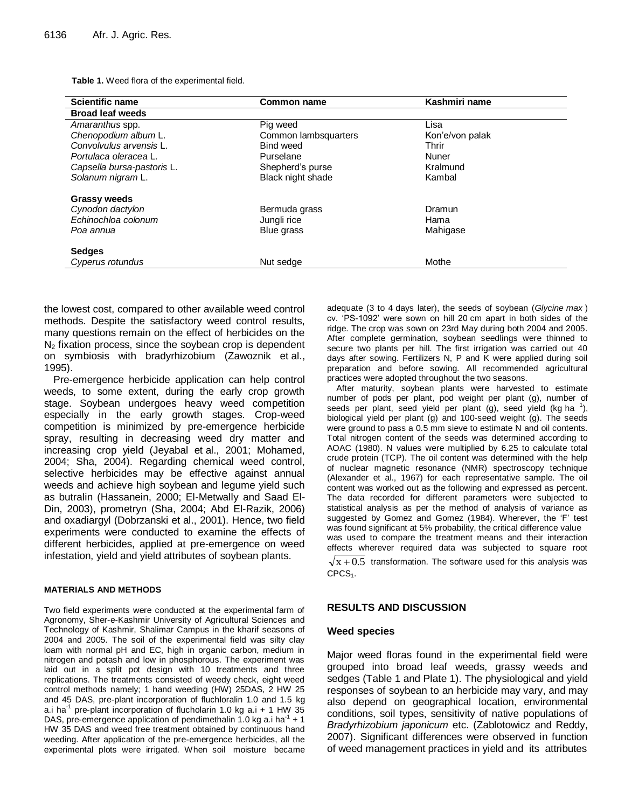**Table 1.** Weed flora of the experimental field.

| <b>Scientific name</b>     | <b>Common name</b>   | Kashmiri name   |
|----------------------------|----------------------|-----------------|
| <b>Broad leaf weeds</b>    |                      |                 |
| Amaranthus spp.            | Pig weed             | Lisa            |
| Chenopodium album L.       | Common lambsquarters | Kon'e/von palak |
| Convolvulus arvensis L.    | Bind weed            | Thrir           |
| Portulaca oleracea L.      | Purselane            | Nuner           |
| Capsella bursa-pastoris L. | Shepherd's purse     | Kralmund        |
| Solanum nigram L.          | Black night shade    | Kambal          |
| <b>Grassy weeds</b>        |                      |                 |
| Cynodon dactylon           | Bermuda grass        | Dramun          |
| Echinochloa colonum        | Jungli rice          | Hama            |
| Poa annua                  | Blue grass           | Mahigase        |
| <b>Sedges</b>              |                      |                 |
| Cyperus rotundus           | Nut sedge            | Mothe           |

the lowest cost, compared to other available weed control methods. Despite the satisfactory weed control results, many questions remain on the effect of herbicides on the  $N<sub>2</sub>$  fixation process, since the sovbean crop is dependent on symbiosis with bradyrhizobium (Zawoznik et al., 1995).

Pre-emergence herbicide application can help control weeds, to some extent, during the early crop growth stage. Soybean undergoes heavy weed competition especially in the early growth stages. Crop-weed competition is minimized by pre-emergence herbicide spray, resulting in decreasing weed dry matter and increasing crop yield (Jeyabal et al., 2001; Mohamed, 2004; Sha, 2004). Regarding chemical weed control, selective herbicides may be effective against annual weeds and achieve high soybean and legume yield such as butralin (Hassanein, 2000; El-Metwally and Saad El-Din, 2003), prometryn (Sha, 2004; Abd El-Razik, 2006) and oxadiargyl (Dobrzanski et al., 2001). Hence, two field experiments were conducted to examine the effects of different herbicides, applied at pre-emergence on weed infestation, yield and yield attributes of soybean plants.

#### **MATERIALS AND METHODS**

Two field experiments were conducted at the experimental farm of Agronomy, Sher-e-Kashmir University of Agricultural Sciences and Technology of Kashmir, Shalimar Campus in the kharif seasons of 2004 and 2005. The soil of the experimental field was silty clay loam with normal pH and EC, high in organic carbon, medium in nitrogen and potash and low in phosphorous. The experiment was laid out in a split pot design with 10 treatments and three replications. The treatments consisted of weedy check, eight weed control methods namely; 1 hand weeding (HW) 25DAS, 2 HW 25 and 45 DAS, pre-plant incorporation of fluchloralin 1.0 and 1.5 kg a.i ha<sup>-1</sup> pre-plant incorporation of flucholarin 1.0 kg a.i + 1 HW 35 DAS, pre-emergence application of pendimethalin 1.0 kg a.i ha<sup>-1</sup> + 1 HW 35 DAS and weed free treatment obtained by continuous hand weeding. After application of the pre-emergence herbicides, all the experimental plots were irrigated. When soil moisture became

adequate (3 to 4 days later), the seeds of soybean (*Glycine max* ) cv. 'PS-1092' were sown on hill 20 cm apart in both sides of the ridge. The crop was sown on 23rd May during both 2004 and 2005. After complete germination, soybean seedlings were thinned to secure two plants per hill. The first irrigation was carried out 40 days after sowing. Fertilizers N, P and K were applied during soil preparation and before sowing. All recommended agricultural practices were adopted throughout the two seasons.

After maturity, soybean plants were harvested to estimate number of pods per plant, pod weight per plant (g), number of seeds per plant, seed yield per plant (g), seed yield (kg ha  $^1$ ), biological yield per plant (g) and 100-seed weight (g). The seeds were ground to pass a 0.5 mm sieve to estimate N and oil contents. Total nitrogen content of the seeds was determined according to AOAC (1980). N values were multiplied by 6.25 to calculate total crude protein (TCP). The oil content was determined with the help of nuclear magnetic resonance (NMR) spectroscopy technique (Alexander et al., 1967) for each representative sample. The oil content was worked out as the following and expressed as percent. The data recorded for different parameters were subjected to statistical analysis as per the method of analysis of variance as suggested by Gomez and Gomez (1984). Wherever, the 'F' test was found significant at 5% probability, the critical difference value was used to compare the treatment means and their interaction effects wherever required data was subjected to square root  $x + 0.5$  transformation. The software used for this analysis was

 $CPCS<sub>1</sub>$ .

#### **RESULTS AND DISCUSSION**

#### **Weed species**

Major weed floras found in the experimental field were grouped into broad leaf weeds, grassy weeds and sedges (Table 1 and Plate 1). The physiological and yield responses of soybean to an herbicide may vary, and may also depend on geographical location, environmental conditions, soil types, sensitivity of native populations of *Bradyrhizobium japonicum* etc. (Zablotowicz and Reddy, 2007). Significant differences were observed in function of weed management practices in yield and its attributes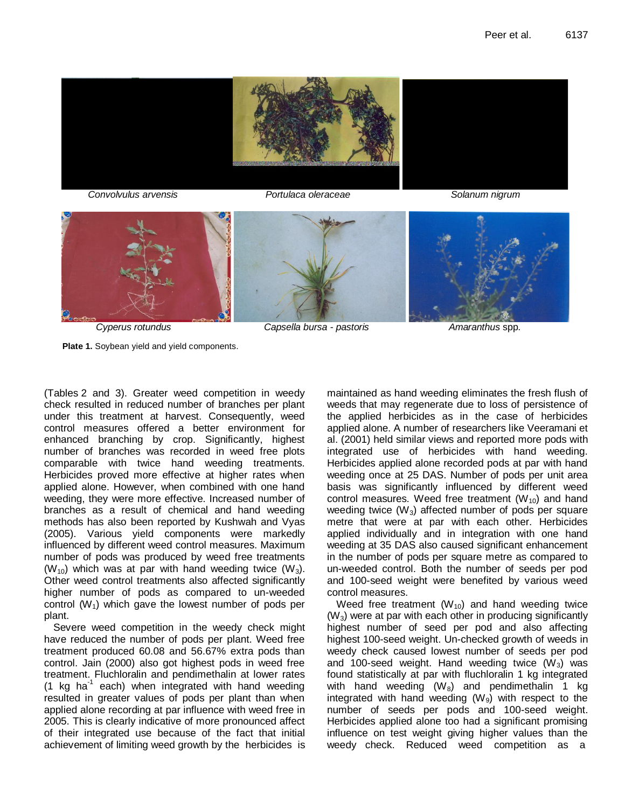



**Plate 1.** Soybean yield and yield components.

 *Cyperus rotundus Capsella bursa - pastoris Amaranthus* spp.

[\(Tables](http://www.scielo.br/img/revistas/pd/v26n4/17t3.gif) 2 and 3). Greater weed competition in weedy check resulted in reduced number of branches per plant under this treatment at harvest. Consequently, weed control measures offered a better environment for enhanced branching by crop. Significantly, highest number of branches was recorded in weed free plots comparable with twice hand weeding treatments. Herbicides proved more effective at higher rates when applied alone. However, when combined with one hand weeding, they were more effective. Increased number of branches as a result of chemical and hand weeding methods has also been reported by Kushwah and Vyas (2005). Various yield components were markedly influenced by different weed control measures. Maximum number of pods was produced by weed free treatments  $(W_{10})$  which was at par with hand weeding twice  $(W_3)$ . Other weed control treatments also affected significantly higher number of pods as compared to un-weeded control  $(W_1)$  which gave the lowest number of pods per plant.

Severe weed competition in the weedy check might have reduced the number of pods per plant. Weed free treatment produced 60.08 and 56.67% extra pods than control. Jain (2000) also got highest pods in weed free treatment. Fluchloralin and pendimethalin at lower rates (1 kg ha<sup>-1</sup> each) when integrated with hand weeding resulted in greater values of pods per plant than when applied alone recording at par influence with weed free in 2005. This is clearly indicative of more pronounced affect of their integrated use because of the fact that initial achievement of limiting weed growth by the herbicides is

maintained as hand weeding eliminates the fresh flush of weeds that may regenerate due to loss of persistence of the applied herbicides as in the case of herbicides applied alone. A number of researchers like Veeramani et al. (2001) held similar views and reported more pods with integrated use of herbicides with hand weeding. Herbicides applied alone recorded pods at par with hand weeding once at 25 DAS. Number of pods per unit area basis was significantly influenced by different weed control measures. Weed free treatment  $(W_{10})$  and hand weeding twice  $(W_3)$  affected number of pods per square metre that were at par with each other. Herbicides applied individually and in integration with one hand weeding at 35 DAS also caused significant enhancement in the number of pods per square metre as compared to un-weeded control. Both the number of seeds per pod and 100-seed weight were benefited by various weed control measures.

Weed free treatment  $(W_{10})$  and hand weeding twice  $(W<sub>3</sub>)$  were at par with each other in producing significantly highest number of seed per pod and also affecting highest 100-seed weight. Un-checked growth of weeds in weedy check caused lowest number of seeds per pod and 100-seed weight. Hand weeding twice  $(W_3)$  was found statistically at par with fluchloralin 1 kg integrated with hand weeding  $(W_8)$  and pendimethalin 1 kg integrated with hand weeding  $(W<sub>9</sub>)$  with respect to the number of seeds per pods and 100-seed weight. Herbicides applied alone too had a significant promising influence on test weight giving higher values than the weedy check. Reduced weed competition as a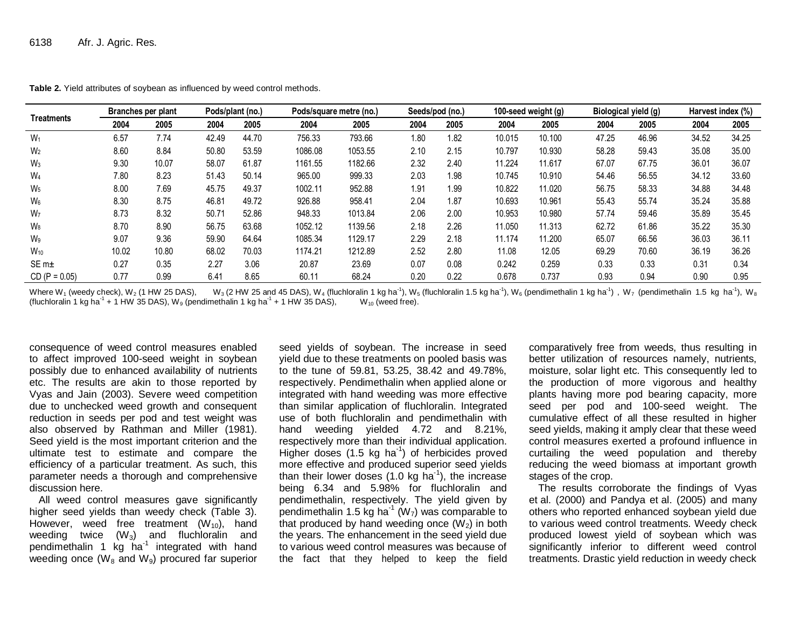| <b>Treatments</b> | Branches per plant |       | Pods/plant (no.) |       | Pods/square metre (no.) |         | Seeds/pod (no.) |      | 100-seed weight (g) |        | Biological yield (g) |       | Harvest index (%) |       |
|-------------------|--------------------|-------|------------------|-------|-------------------------|---------|-----------------|------|---------------------|--------|----------------------|-------|-------------------|-------|
|                   | 2004               | 2005  | 2004             | 2005  | 2004                    | 2005    | 2004            | 2005 | 2004                | 2005   | 2004                 | 2005  | 2004              | 2005  |
| $W_1$             | 6.57               | 7.74  | 42.49            | 44.70 | 756.33                  | 793.66  | 1.80            | 1.82 | 10.015              | 10.100 | 47.25                | 46.96 | 34.52             | 34.25 |
| W <sub>2</sub>    | 8.60               | 8.84  | 50.80            | 53.59 | 1086.08                 | 1053.55 | 2.10            | 2.15 | 10.797              | 10.930 | 58.28                | 59.43 | 35.08             | 35.00 |
| $W_3$             | 9.30               | 10.07 | 58.07            | 61.87 | 1161.55                 | 1182.66 | 2.32            | 2.40 | 11.224              | 11.617 | 67.07                | 67.75 | 36.01             | 36.07 |
| W <sub>4</sub>    | 7.80               | 8.23  | 51.43            | 50.14 | 965.00                  | 999.33  | 2.03            | 1.98 | 10.745              | 10.910 | 54.46                | 56.55 | 34.12             | 33.60 |
| $W_5$             | 8.00               | 7.69  | 45.75            | 49.37 | 1002.11                 | 952.88  | 1.91            | 1.99 | 10.822              | 11.020 | 56.75                | 58.33 | 34.88             | 34.48 |
| $W_6$             | 8.30               | 8.75  | 46.81            | 49.72 | 926.88                  | 958.41  | 2.04            | 1.87 | 10.693              | 10.961 | 55.43                | 55.74 | 35.24             | 35.88 |
| W <sub>7</sub>    | 8.73               | 8.32  | 50.71            | 52.86 | 948.33                  | 1013.84 | 2.06            | 2.00 | 10.953              | 10.980 | 57.74                | 59.46 | 35.89             | 35.45 |
| W <sub>8</sub>    | 8.70               | 8.90  | 56.75            | 63.68 | 1052.12                 | 1139.56 | 2.18            | 2.26 | 11.050              | 11.313 | 62.72                | 61.86 | 35.22             | 35.30 |
| W9                | 9.07               | 9.36  | 59.90            | 64.64 | 1085.34                 | 1129.17 | 2.29            | 2.18 | 11.174              | 11.200 | 65.07                | 66.56 | 36.03             | 36.11 |
| $W_{10}$          | 10.02              | 10.80 | 68.02            | 70.03 | 1174.21                 | 1212.89 | 2.52            | 2.80 | 11.08               | 12.05  | 69.29                | 70.60 | 36.19             | 36.26 |
| $SEm+$            | 0.27               | 0.35  | 2.27             | 3.06  | 20.87                   | 23.69   | 0.07            | 0.08 | 0.242               | 0.259  | 0.33                 | 0.33  | 0.31              | 0.34  |
| $CD (P = 0.05)$   | 0.77               | 0.99  | 6.41             | 8.65  | 60.11                   | 68.24   | 0.20            | 0.22 | 0.678               | 0.737  | 0.93                 | 0.94  | 0.90              | 0.95  |

**Table 2.** Yield attributes of soybean as influenced by weed control methods.

Where W<sub>1</sub> (weedy check), W<sub>2</sub> (1 HW 25 DAS), W<sub>3</sub> (2 HW 25 and 45 DAS), W<sub>4</sub> (fluchloralin 1 kg ha<sup>-1</sup>), W<sub>5</sub> (fluchloralin 1.5 kg ha<sup>-1</sup>), W<sub>6</sub> (pendimethalin 1 kg ha<sup>-1</sup>), W<sub>7</sub> (pendimethalin 1.5 kg ha<sup>-1</sup>), W<sub>7</sub> (pend (fluchloralin 1 kg ha<sup>-1</sup> + 1 HW 35 DAS), W<sub>9</sub> (pendimethalin 1 kg ha<sup>-1</sup> + 1 HW 35 DAS), W<sub>10</sub> (weed free).

consequence of weed control measures enabled to affect improved 100-seed weight in soybean possibly due to enhanced availability of nutrients etc. The results are akin to those reported by Vyas and Jain (2003). Severe weed competition due to unchecked weed growth and consequent reduction in seeds per pod and test weight was also observed by Rathman and Miller (1981). Seed yield is the most important criterion and the ultimate test to estimate and compare the efficiency of a particular treatment. As such, this parameter needs a thorough and comprehensive discussion here.

All weed control measures gave significantly higher seed yields than weedy check (Table 3). However, weed free treatment  $(W_{10})$ , hand weeding twice  $(W_3)$  and fluchloralin and pendimethalin 1  $kg$  ha<sup>-1</sup> integrated with hand weeding once  $(W_8$  and  $W_9$ ) procured far superior

seed yields of soybean. The increase in seed yield due to these treatments on pooled basis was to the tune of 59.81, 53.25, 38.42 and 49.78%, respectively. Pendimethalin when applied alone or integrated with hand weeding was more effective than similar application of fluchloralin. Integrated use of both fluchloralin and pendimethalin with hand weeding yielded 4.72 and 8.21%, respectively more than their individual application. Higher doses  $(1.5 \text{ kg ha}^1)$  of herbicides proved more effective and produced superior seed yields than their lower doses  $(1.0 \text{ kg ha}^{-1})$ , the increase being 6.34 and 5.98% for fluchloralin and pendimethalin, respectively. The yield given by pendimethalin 1.5 kg ha $1 \, (W_7)$  was comparable to that produced by hand weeding once  $(W<sub>2</sub>)$  in both the years. The enhancement in the seed yield due to various weed control measures was because of the fact that they helped to keep the field

comparatively free from weeds, thus resulting in better utilization of resources namely, nutrients, moisture, solar light etc. This consequently led to the production of more vigorous and healthy plants having more pod bearing capacity, more seed per pod and 100-seed weight. The cumulative effect of all these resulted in higher seed yields, making it amply clear that these weed control measures exerted a profound influence in curtailing the weed population and thereby reducing the weed biomass at important growth stages of the crop.

The results corroborate the findings of Vyas et al. (2000) and Pandya et al. (2005) and many others who reported enhanced soybean yield due to various weed control treatments. Weedy check produced lowest yield of soybean which was significantly inferior to different weed control treatments. Drastic yield reduction in weedy check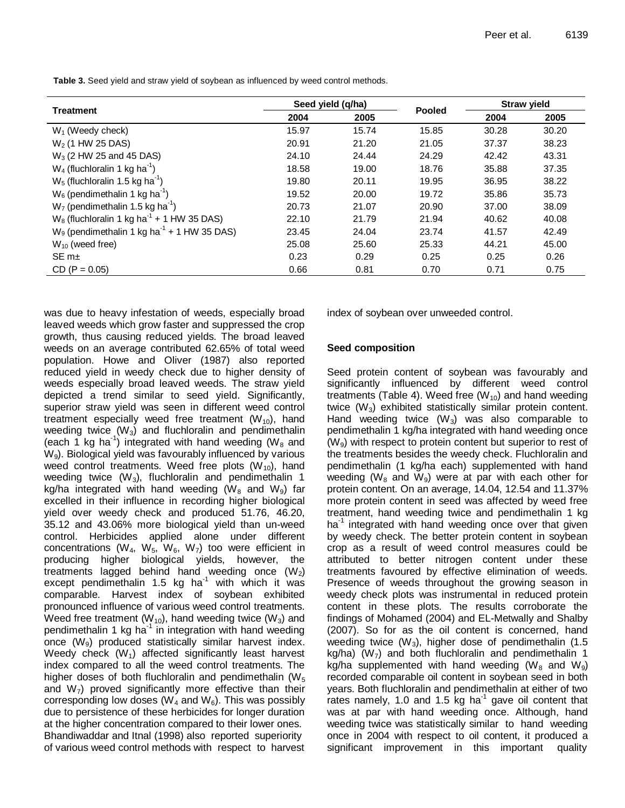**Table 3.** Seed yield and straw yield of soybean as influenced by weed control methods.

|                                                           | Seed yield (q/ha) |       |               | <b>Straw yield</b> |       |  |
|-----------------------------------------------------------|-------------------|-------|---------------|--------------------|-------|--|
| <b>Treatment</b>                                          | 2004              | 2005  | <b>Pooled</b> | 2004               | 2005  |  |
| $W_1$ (Weedy check)                                       | 15.97             | 15.74 | 15.85         | 30.28              | 30.20 |  |
| $W_2$ (1 HW 25 DAS)                                       | 20.91             | 21.20 | 21.05         | 37.37              | 38.23 |  |
| $W_3$ (2 HW 25 and 45 DAS)                                | 24.10             | 24.44 | 24.29         | 42.42              | 43.31 |  |
| $W_4$ (fluchloralin 1 kg ha <sup>-1</sup> )               | 18.58             | 19.00 | 18.76         | 35.88              | 37.35 |  |
| $W_5$ (fluchloralin 1.5 kg ha <sup>-1</sup> )             | 19.80             | 20.11 | 19.95         | 36.95              | 38.22 |  |
| $W_6$ (pendimethalin 1 kg ha <sup>-1</sup> )              | 19.52             | 20.00 | 19.72         | 35.86              | 35.73 |  |
| $W7$ (pendimethalin 1.5 kg ha <sup>-1</sup> )             | 20.73             | 21.07 | 20.90         | 37.00              | 38.09 |  |
| $W_8$ (fluchloralin 1 kg ha <sup>-1</sup> + 1 HW 35 DAS)  | 22.10             | 21.79 | 21.94         | 40.62              | 40.08 |  |
| $W_9$ (pendimethalin 1 kg ha <sup>-1</sup> + 1 HW 35 DAS) | 23.45             | 24.04 | 23.74         | 41.57              | 42.49 |  |
| $W_{10}$ (weed free)                                      | 25.08             | 25.60 | 25.33         | 44.21              | 45.00 |  |
| $SEm+$                                                    | 0.23              | 0.29  | 0.25          | 0.25               | 0.26  |  |
| $CD (P = 0.05)$                                           | 0.66              | 0.81  | 0.70          | 0.71               | 0.75  |  |

was due to heavy infestation of weeds, especially broad leaved weeds which grow faster and suppressed the crop growth, thus causing reduced yields. The broad leaved weeds on an average contributed 62.65% of total weed population. Howe and Oliver (1987) also reported reduced yield in weedy check due to higher density of weeds especially broad leaved weeds. The straw yield depicted a trend similar to seed yield. Significantly, superior straw yield was seen in different weed control treatment especially weed free treatment  $(W_{10})$ , hand weeding twice  $(W_3)$  and fluchloralin and pendimethalin (each 1 kg ha<sup>-1</sup>) integrated with hand weeding (W<sub>8</sub> and  $W<sub>9</sub>$ ). Biological yield was favourably influenced by various weed control treatments. Weed free plots  $(W_{10})$ , hand weeding twice  $(W_3)$ , fluchloralin and pendimethalin 1 kg/ha integrated with hand weeding ( $W_8$  and  $W_9$ ) far excelled in their influence in recording higher biological yield over weedy check and produced 51.76, 46.20, 35.12 and 43.06% more biological yield than un-weed control. Herbicides applied alone under different concentrations (W<sub>4</sub>, W<sub>5</sub>, W<sub>6</sub>, W<sub>7</sub>) too were efficient in producing higher biological yields, however, the treatments lagged behind hand weeding once  $(W_2)$ except pendimethalin 1.5 kg ha $^{-1}$  with which it was comparable. Harvest index of soybean exhibited pronounced influence of various weed control treatments. Weed free treatment  $(W_{10})$ , hand weeding twice  $(W_3)$  and pendimethalin 1 kg ha<sup>-1</sup> in integration with hand weeding once  $(W_9)$  produced statistically similar harvest index. Weedy check  $(W_1)$  affected significantly least harvest index compared to all the weed control treatments. The higher doses of both fluchloralin and pendimethalin ( $W_5$ ) and  $W_7$ ) proved significantly more effective than their corresponding low doses ( $W_4$  and  $W_6$ ). This was possibly due to persistence of these herbicides for longer duration at the higher concentration compared to their lower ones. Bhandiwaddar and Itnal (1998) also reported superiority of various weed control methods with respect to harvest

index of soybean over unweeded control.

#### **Seed composition**

Seed protein content of soybean was favourably and significantly influenced by different weed control treatments (Table 4). Weed free  $(W_{10})$  and hand weeding twice  $(W_3)$  exhibited statistically similar protein content. Hand weeding twice  $(W_3)$  was also comparable to pendimethalin 1 kg/ha integrated with hand weeding once  $(W<sub>9</sub>)$  with respect to protein content but superior to rest of the treatments besides the weedy check. Fluchloralin and pendimethalin (1 kg/ha each) supplemented with hand weeding ( $W_8$  and  $W_9$ ) were at par with each other for protein content. On an average, 14.04, 12.54 and 11.37% more protein content in seed was affected by weed free treatment, hand weeding twice and pendimethalin 1 kg ha<sup>1</sup> integrated with hand weeding once over that given by weedy check. The better protein content in soybean crop as a result of weed control measures could be attributed to better nitrogen content under these treatments favoured by effective elimination of weeds. Presence of weeds throughout the growing season in weedy check plots was instrumental in reduced protein content in these plots. The results corroborate the findings of Mohamed (2004) and EL-Metwally and Shalby (2007). So for as the oil content is concerned, hand weeding twice  $(W_3)$ , higher dose of pendimethalin (1.5) kg/ha) ( $W_7$ ) and both fluchloralin and pendimethalin 1 kg/ha supplemented with hand weeding (W<sub>8</sub> and W<sub>9</sub>) recorded comparable oil content in soybean seed in both years. Both fluchloralin and pendimethalin at either of two rates namely, 1.0 and 1.5 kg ha<sup>-1</sup> gave oil content that was at par with hand weeding once. Although, hand weeding twice was statistically similar to hand weeding once in 2004 with respect to oil content, it produced a significant improvement in this important quality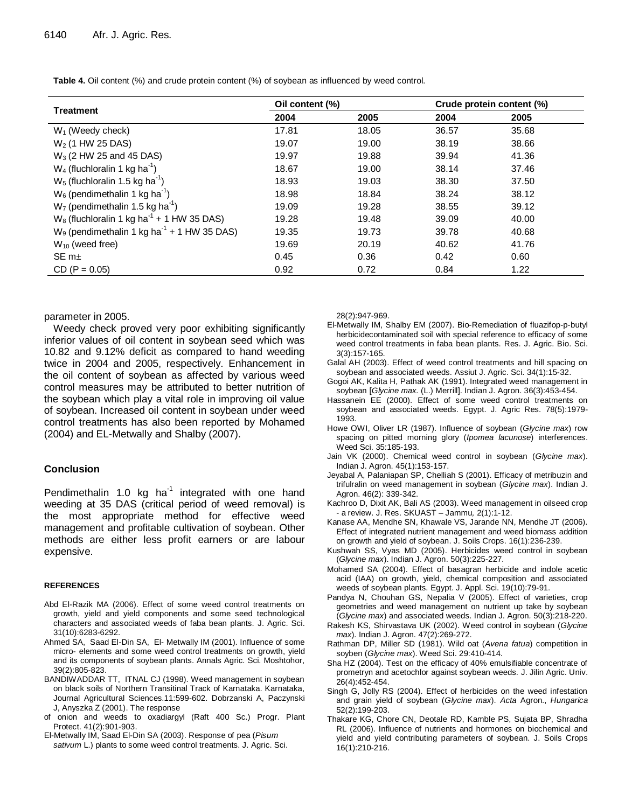**Table 4.** Oil content (%) and crude protein content (%) of soybean as influenced by weed control.

|                                                           | Oil content (%) |       |       | Crude protein content (%) |  |  |
|-----------------------------------------------------------|-----------------|-------|-------|---------------------------|--|--|
| <b>Treatment</b>                                          | 2004            | 2005  | 2004  | 2005                      |  |  |
| $W_1$ (Weedy check)                                       | 17.81           | 18.05 | 36.57 | 35.68                     |  |  |
| $W_2$ (1 HW 25 DAS)                                       | 19.07           | 19.00 | 38.19 | 38.66                     |  |  |
| $W_3$ (2 HW 25 and 45 DAS)                                | 19.97           | 19.88 | 39.94 | 41.36                     |  |  |
| $W_4$ (fluchloralin 1 kg ha <sup>-1</sup> )               | 18.67           | 19.00 | 38.14 | 37.46                     |  |  |
| $W_5$ (fluchloralin 1.5 kg ha <sup>-1</sup> )             | 18.93           | 19.03 | 38.30 | 37.50                     |  |  |
| $W_6$ (pendimethalin 1 kg ha <sup>-1</sup> )              | 18.98           | 18.84 | 38.24 | 38.12                     |  |  |
| $W_7$ (pendimethalin 1.5 kg ha <sup>-1</sup> )            | 19.09           | 19.28 | 38.55 | 39.12                     |  |  |
| $W_8$ (fluchloralin 1 kg ha <sup>-1</sup> + 1 HW 35 DAS)  | 19.28           | 19.48 | 39.09 | 40.00                     |  |  |
| $W_9$ (pendimethalin 1 kg ha <sup>-1</sup> + 1 HW 35 DAS) | 19.35           | 19.73 | 39.78 | 40.68                     |  |  |
| $W_{10}$ (weed free)                                      | 19.69           | 20.19 | 40.62 | 41.76                     |  |  |
| $SEm+$                                                    | 0.45            | 0.36  | 0.42  | 0.60                      |  |  |
| $CD (P = 0.05)$                                           | 0.92            | 0.72  | 0.84  | 1.22                      |  |  |

#### parameter in 2005.

Weedy check proved very poor exhibiting significantly inferior values of oil content in soybean seed which was 10.82 and 9.12% deficit as compared to hand weeding twice in 2004 and 2005, respectively. Enhancement in the oil content of soybean as affected by various weed control measures may be attributed to better nutrition of the soybean which play a vital role in improving oil value of soybean. Increased oil content in soybean under weed control treatments has also been reported by Mohamed (2004) and EL-Metwally and Shalby (2007).

#### **Conclusion**

Pendimethalin 1.0 kg ha<sup>-1</sup> integrated with one hand weeding at 35 DAS (critical period of weed removal) is the most appropriate method for effective weed management and profitable cultivation of soybean. Other methods are either less profit earners or are labour expensive.

#### **REFERENCES**

- Abd El-Razik MA (2006). Effect of some weed control treatments on growth, yield and yield components and some seed technological characters and associated weeds of faba bean plants. J. Agric. Sci. 31(10):6283-6292.
- Ahmed SA, Saad El-Din SA, El- Metwally IM (2001). Influence of some micro- elements and some weed control treatments on growth, yield and its components of soybean plants. Annals Agric. Sci. Moshtohor, 39(2):805-823.
- BANDIWADDAR TT, ITNAL CJ (1998). Weed management in soybean on black soils of Northern Transitinal Track of Karnataka. Karnataka, Journal Agricultural Sciences.11:599-602. Dobrzanski A, Paczynski J, Anyszka Z (2001). The response
- of onion and weeds to oxadiargyl (Raft 400 Sc.) Progr. Plant Protect. 41(2):901-903.
- El-Metwally IM, Saad El-Din SA (2003). Response of pea (*Pisum sativum* L.) plants to some weed control treatments. J. Agric. Sci.

28(2):947-969.

- El-Metwally IM, Shalby EM (2007). Bio-Remediation of fluazifop-p-butyl herbicidecontaminated soil with special reference to efficacy of some weed control treatments in faba bean plants. Res. J. Agric. Bio. Sci. 3(3):157-165.
- Galal AH (2003). Effect of weed control treatments and hill spacing on soybean and associated weeds. Assiut J. Agric. Sci. 34(1):15-32.
- Gogoi AK, Kalita H, Pathak AK (1991). Integrated weed management in soybean [*Glycine max.* (L.) Merrill]. Indian J. Agron. 36(3):453-454.
- Hassanein EE (2000). Effect of some weed control treatments on soybean and associated weeds. Egypt. J. Agric Res. 78(5):1979- 1993.
- Howe OWI, Oliver LR (1987). Influence of soybean (*Glycine max*) row spacing on pitted morning glory (*Ipomea lacunose*) interferences. Weed Sci. 35:185-193.
- Jain VK (2000). Chemical weed control in soybean (*Glycine max*). Indian J. Agron. 45(1):153-157.
- Jeyabal A, Palaniapan SP, Chelliah S (2001). Efficacy of metribuzin and trifulralin on weed management in soybean (*Glycine max*). Indian J. Agron. 46(2): 339-342.
- Kachroo D, Dixit AK, Bali AS (2003). Weed management in oilseed crop - a review. J. Res. SKUAST – Jammu*,* 2(1):1-12.
- Kanase AA, Mendhe SN, Khawale VS, Jarande NN, Mendhe JT (2006). Effect of integrated nutrient management and weed biomass addition on growth and yield of soybean. J. Soils Crops. 16(1):236-239.
- Kushwah SS, Vyas MD (2005). Herbicides weed control in soybean (*Glycine max*). Indian J. Agron. 50(3):225-227.
- Mohamed SA (2004). Effect of basagran herbicide and indole acetic acid (IAA) on growth, yield, chemical composition and associated weeds of soybean plants. Egypt. J. Appl. Sci. 19(10):79-91.
- Pandya N, Chouhan GS, Nepalia V (2005). Effect of varieties, crop geometries and weed management on nutrient up take by soybean (*Glycine max*) and associated weeds. Indian J. Agron*.* 50(3):218-220.
- Rakesh KS, Shirvastava UK (2002). Weed control in soybean (*Glycine max*). Indian J. Agron. 47(2):269-272.
- Rathman DP, Miller SD (1981). Wild oat (*Avena fatua*) competition in soyben (*Glycine max*). Weed Sci. 29:410-414.
- Sha HZ (2004). Test on the efficacy of 40% emulsifiable concentrate of prometryn and acetochlor against soybean weeds. J. Jilin Agric. Univ. 26(4):452-454.
- Singh G, Jolly RS (2004). Effect of herbicides on the weed infestation and grain yield of soybean (*Glycine max*). *Acta* Agron., *Hungarica* 52(2):199-203.
- Thakare KG, Chore CN, Deotale RD, Kamble PS, Sujata BP, Shradha RL (2006). Influence of nutrients and hormones on biochemical and yield and yield contributing parameters of soybean. J. Soils Crops 16(1):210-216.